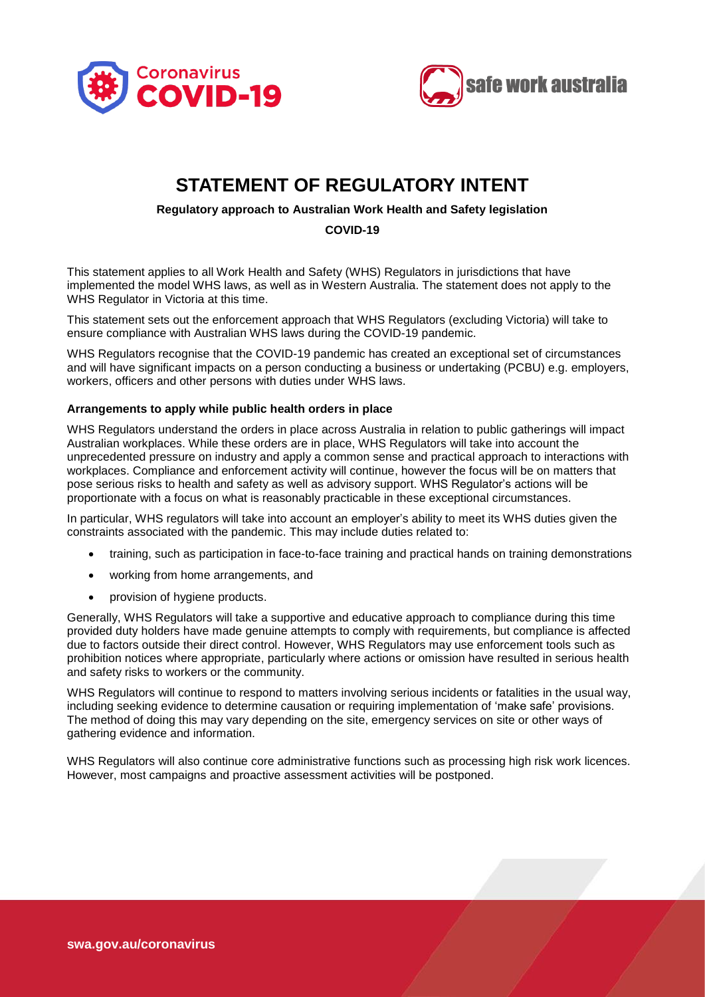



# **STATEMENT OF REGULATORY INTENT**

## **Regulatory approach to Australian Work Health and Safety legislation**

**COVID-19**

This statement applies to all Work Health and Safety (WHS) Regulators in jurisdictions that have implemented the model WHS laws, as well as in Western Australia. The statement does not apply to the WHS Regulator in Victoria at this time.

This statement sets out the enforcement approach that WHS Regulators (excluding Victoria) will take to ensure compliance with Australian WHS laws during the COVID-19 pandemic.

WHS Regulators recognise that the COVID-19 pandemic has created an exceptional set of circumstances and will have significant impacts on a person conducting a business or undertaking (PCBU) e.g. employers, workers, officers and other persons with duties under WHS laws.

## **Arrangements to apply while public health orders in place**

WHS Regulators understand the orders in place across Australia in relation to public gatherings will impact Australian workplaces. While these orders are in place, WHS Regulators will take into account the unprecedented pressure on industry and apply a common sense and practical approach to interactions with workplaces. Compliance and enforcement activity will continue, however the focus will be on matters that pose serious risks to health and safety as well as advisory support. WHS Regulator's actions will be proportionate with a focus on what is reasonably practicable in these exceptional circumstances.

In particular, WHS regulators will take into account an employer's ability to meet its WHS duties given the constraints associated with the pandemic. This may include duties related to:

- training, such as participation in face-to-face training and practical hands on training demonstrations
- working from home arrangements, and
- provision of hygiene products.

Generally, WHS Regulators will take a supportive and educative approach to compliance during this time provided duty holders have made genuine attempts to comply with requirements, but compliance is affected due to factors outside their direct control. However, WHS Regulators may use enforcement tools such as prohibition notices where appropriate, particularly where actions or omission have resulted in serious health and safety risks to workers or the community.

WHS Regulators will continue to respond to matters involving serious incidents or fatalities in the usual way, including seeking evidence to determine causation or requiring implementation of 'make safe' provisions. The method of doing this may vary depending on the site, emergency services on site or other ways of gathering evidence and information.

WHS Regulators will also continue core administrative functions such as processing high risk work licences. However, most campaigns and proactive assessment activities will be postponed.